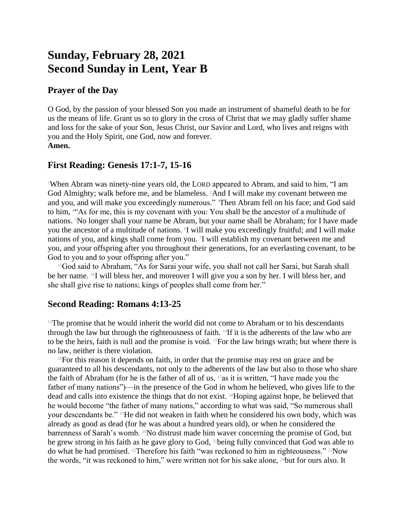# **Sunday, February 28, 2021 Second Sunday in Lent, Year B**

## **Prayer of the Day**

O God, by the passion of your blessed Son you made an instrument of shameful death to be for us the means of life. Grant us so to glory in the cross of Christ that we may gladly suffer shame and loss for the sake of your Son, Jesus Christ, our Savior and Lord, who lives and reigns with you and the Holy Spirit, one God, now and forever. **Amen.**

# **First Reading: Genesis 17:1-7, 15-16**

<sup>1</sup>When Abram was ninety-nine years old, the LORD appeared to Abram, and said to him, "I am God Almighty; walk before me, and be blameless. 2And I will make my covenant between me and you, and will make you exceedingly numerous." <sup>3</sup>Then Abram fell on his face; and God said to him, 4"As for me, this is my covenant with you: You shall be the ancestor of a multitude of nations. 5No longer shall your name be Abram, but your name shall be Abraham; for I have made you the ancestor of a multitude of nations. I will make you exceedingly fruitful; and I will make nations of you, and kings shall come from you. <sup>7</sup> I will establish my covenant between me and you, and your offspring after you throughout their generations, for an everlasting covenant, to be God to you and to your offspring after you."

<sup>15</sup>God said to Abraham, "As for Sarai your wife, you shall not call her Sarai, but Sarah shall be her name. 16I will bless her, and moreover I will give you a son by her. I will bless her, and she shall give rise to nations; kings of peoples shall come from her."

## **Second Reading: Romans 4:13-25**

 $13$ The promise that he would inherit the world did not come to Abraham or to his descendants through the law but through the righteousness of faith. 14If it is the adherents of the law who are to be the heirs, faith is null and the promise is void. 15For the law brings wrath; but where there is no law, neither is there violation.

 $16$ For this reason it depends on faith, in order that the promise may rest on grace and be guaranteed to all his descendants, not only to the adherents of the law but also to those who share the faith of Abraham (for he is the father of all of us, 17as it is written, "I have made you the father of many nations")—in the presence of the God in whom he believed, who gives life to the dead and calls into existence the things that do not exist. 18Hoping against hope, he believed that he would become "the father of many nations," according to what was said, "So numerous shall your descendants be." 19He did not weaken in faith when he considered his own body, which was already as good as dead (for he was about a hundred years old), or when he considered the barrenness of Sarah's womb. <sup>20</sup>No distrust made him waver concerning the promise of God, but he grew strong in his faith as he gave glory to God, 21being fully convinced that God was able to do what he had promised. 22Therefore his faith "was reckoned to him as righteousness." 23Now the words, "it was reckoned to him," were written not for his sake alone,  $24$  but for ours also. It